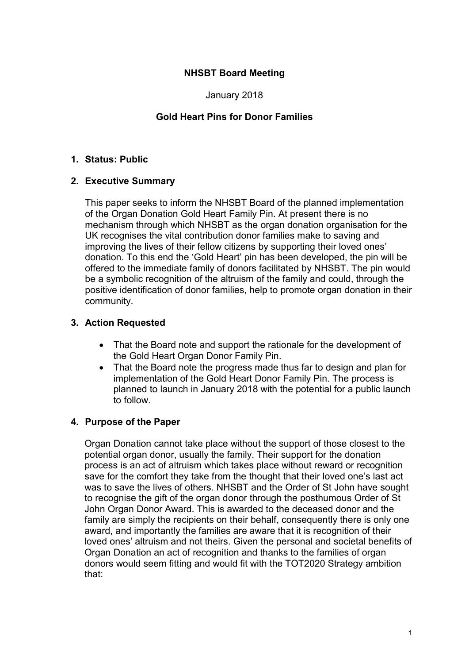## NHSBT Board Meeting

January 2018

## Gold Heart Pins for Donor Families

### 1. Status: Public

#### 2. Executive Summary

This paper seeks to inform the NHSBT Board of the planned implementation of the Organ Donation Gold Heart Family Pin. At present there is no mechanism through which NHSBT as the organ donation organisation for the UK recognises the vital contribution donor families make to saving and improving the lives of their fellow citizens by supporting their loved ones' donation. To this end the 'Gold Heart' pin has been developed, the pin will be offered to the immediate family of donors facilitated by NHSBT. The pin would be a symbolic recognition of the altruism of the family and could, through the positive identification of donor families, help to promote organ donation in their community.

## 3. Action Requested

- That the Board note and support the rationale for the development of the Gold Heart Organ Donor Family Pin.
- That the Board note the progress made thus far to design and plan for implementation of the Gold Heart Donor Family Pin. The process is planned to launch in January 2018 with the potential for a public launch to follow.

## 4. Purpose of the Paper

Organ Donation cannot take place without the support of those closest to the potential organ donor, usually the family. Their support for the donation process is an act of altruism which takes place without reward or recognition save for the comfort they take from the thought that their loved one's last act was to save the lives of others. NHSBT and the Order of St John have sought to recognise the gift of the organ donor through the posthumous Order of St John Organ Donor Award. This is awarded to the deceased donor and the family are simply the recipients on their behalf, consequently there is only one award, and importantly the families are aware that it is recognition of their loved ones' altruism and not theirs. Given the personal and societal benefits of Organ Donation an act of recognition and thanks to the families of organ donors would seem fitting and would fit with the TOT2020 Strategy ambition that: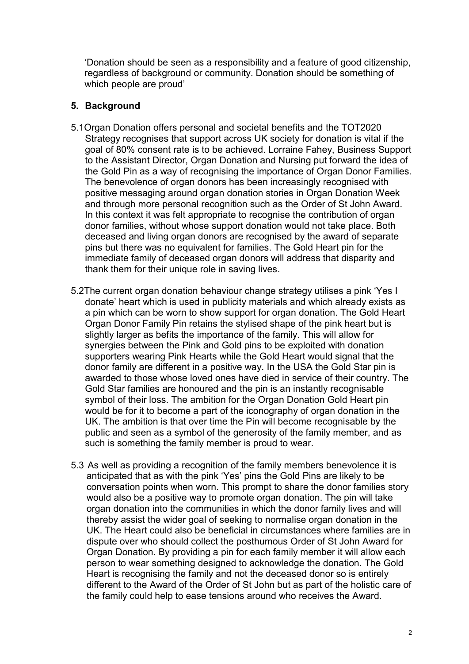'Donation should be seen as a responsibility and a feature of good citizenship, regardless of background or community. Donation should be something of which people are proud'

### 5. Background

- 5.1Organ Donation offers personal and societal benefits and the TOT2020 Strategy recognises that support across UK society for donation is vital if the goal of 80% consent rate is to be achieved. Lorraine Fahey, Business Support to the Assistant Director, Organ Donation and Nursing put forward the idea of the Gold Pin as a way of recognising the importance of Organ Donor Families. The benevolence of organ donors has been increasingly recognised with positive messaging around organ donation stories in Organ Donation Week and through more personal recognition such as the Order of St John Award. In this context it was felt appropriate to recognise the contribution of organ donor families, without whose support donation would not take place. Both deceased and living organ donors are recognised by the award of separate pins but there was no equivalent for families. The Gold Heart pin for the immediate family of deceased organ donors will address that disparity and thank them for their unique role in saving lives.
- 5.2The current organ donation behaviour change strategy utilises a pink 'Yes I donate' heart which is used in publicity materials and which already exists as a pin which can be worn to show support for organ donation. The Gold Heart Organ Donor Family Pin retains the stylised shape of the pink heart but is slightly larger as befits the importance of the family. This will allow for synergies between the Pink and Gold pins to be exploited with donation supporters wearing Pink Hearts while the Gold Heart would signal that the donor family are different in a positive way. In the USA the Gold Star pin is awarded to those whose loved ones have died in service of their country. The Gold Star families are honoured and the pin is an instantly recognisable symbol of their loss. The ambition for the Organ Donation Gold Heart pin would be for it to become a part of the iconography of organ donation in the UK. The ambition is that over time the Pin will become recognisable by the public and seen as a symbol of the generosity of the family member, and as such is something the family member is proud to wear.
- 5.3 As well as providing a recognition of the family members benevolence it is anticipated that as with the pink 'Yes' pins the Gold Pins are likely to be conversation points when worn. This prompt to share the donor families story would also be a positive way to promote organ donation. The pin will take organ donation into the communities in which the donor family lives and will thereby assist the wider goal of seeking to normalise organ donation in the UK. The Heart could also be beneficial in circumstances where families are in dispute over who should collect the posthumous Order of St John Award for Organ Donation. By providing a pin for each family member it will allow each person to wear something designed to acknowledge the donation. The Gold Heart is recognising the family and not the deceased donor so is entirely different to the Award of the Order of St John but as part of the holistic care of the family could help to ease tensions around who receives the Award.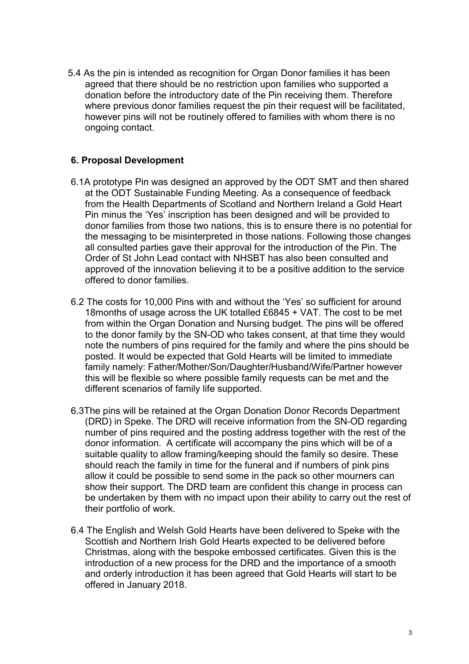5.4 As the pin is intended as recognition for Organ Donor families it has been agreed that there should be no restriction upon families who supported a donation before the introductory date of the Pin receiving them. Therefore where previous donor families request the pin their request will be facilitated, however pins will not be routinely offered to families with whom there is no ongoing contact.

# 6. Proposal Development

- 6.1A prototype Pin was designed an approved by the ODT SMT and then shared at the ODT Sustainable Funding Meeting. As a consequence of feedback from the Health Departments of Scotland and Northern Ireland a Gold Heart Pin minus the 'Yes' inscription has been designed and will be provided to donor families from those two nations, this is to ensure there is no potential for the messaging to be misinterpreted in those nations. Following those changes all consulted parties gave their approval for the introduction of the Pin. The Order of St John Lead contact with NHSBT has also been consulted and approved of the innovation believing it to be a positive addition to the service offered to donor families.
- 6.2 The costs for 10,000 Pins with and without the 'Yes' so sufficient for around 18months of usage across the UK totalled £6845 + VAT. The cost to be met from within the Organ Donation and Nursing budget. The pins will be offered to the donor family by the SN-OD who takes consent, at that time they would note the numbers of pins required for the family and where the pins should be posted. It would be expected that Gold Hearts will be limited to immediate family namely: Father/Mother/Son/Daughter/Husband/Wife/Partner however this will be flexible so where possible family requests can be met and the different scenarios of family life supported.
- 6.3The pins will be retained at the Organ Donation Donor Records Department (DRD) in Speke. The DRD will receive information from the SN-OD regarding number of pins required and the posting address together with the rest of the donor information. A certificate will accompany the pins which will be of a suitable quality to allow framing/keeping should the family so desire. These should reach the family in time for the funeral and if numbers of pink pins allow it could be possible to send some in the pack so other mourners can show their support. The DRD team are confident this change in process can be undertaken by them with no impact upon their ability to carry out the rest of their portfolio of work.
- 6.4 The English and Welsh Gold Hearts have been delivered to Speke with the Scottish and Northern Irish Gold Hearts expected to be delivered before Christmas, along with the bespoke embossed certificates. Given this is the introduction of a new process for the DRD and the importance of a smooth and orderly introduction it has been agreed that Gold Hearts will start to be offered in January 2018.